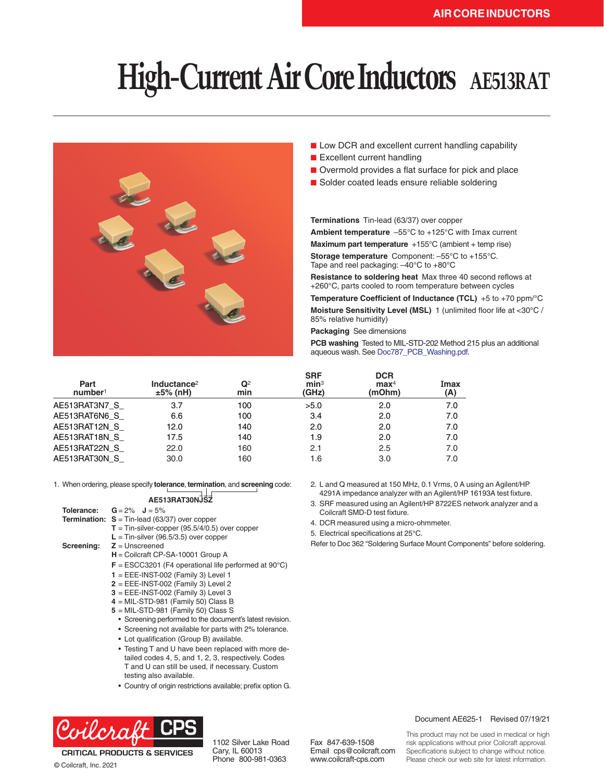# **High-Current Air Core Inductors AE513RAT**



- Low DCR and excellent current handling capability
- Excellent current handling
- Overmold provides a flat surface for pick and place
- Solder coated leads ensure reliable soldering

**Terminations** Tin-lead (63/37) over copper

**Ambient temperature** –55°C to +125°C with Imax current **Maximum part temperature** +155°C (ambient + temp rise) **Storage temperature** Component: –55°C to +155°C. Tape and reel packaging: –40°C to +80°C

**Resistance to soldering heat** Max three 40 second reflows at +260°C, parts cooled to room temperature between cycles

**Temperature Coefficient of Inductance (TCL)** +5 to +70 ppm/°C **Moisture Sensitivity Level (MSL)** 1 (unlimited floor life at <30°C / 85% relative humidity)

**Packaging** See dimensions

Coilcraft SMD-D test fixture. 4. DCR measured using a micro-ohmmeter. 5. Electrical specifications at 25°C.

**PCB washing** Tested to MIL-STD-202 Method 215 plus an additional aqueous wash. See Doc787\_PCB\_Washing.pdf.

2. L and Q measured at 150 MHz, 0.1 Vrms, 0 A using an Agilent/HP 4291A impedance analyzer with an Agilent/HP 16193A test fixture. 3. SRF measured using an Agilent/HP 8722ES network analyzer and a

Refer to Doc 362 "Soldering Surface Mount Components" before soldering.

| Part<br>number <sup>1</sup> | Inductance <sup>2</sup><br>$±5%$ (nH) | $\mathbf{Q}^2$<br>min | <b>SRF</b><br>min <sup>3</sup><br>(GHz) | <b>DCR</b><br>$\mathbf{max}^4$<br>(mOhm) | Imax<br>(A) |
|-----------------------------|---------------------------------------|-----------------------|-----------------------------------------|------------------------------------------|-------------|
| AE513RAT3N7 S               | 3.7                                   | 100                   | >5.0                                    | 2.0                                      | 7.0         |
| AE513RAT6N6 S               | 6.6                                   | 100                   | 3.4                                     | 2.0                                      | 7.0         |
| AE513RAT12N S               | 12.0                                  | 140                   | 2.0                                     | 2.0                                      | 7.0         |
| AE513RAT18N S               | 17.5                                  | 140                   | 1.9                                     | 2.0                                      | 7.0         |
| AE513RAT22N S               | 22.0                                  | 160                   | 2.1                                     | 2.5                                      | 7.0         |
| AE513RAT30N S               | 30.0                                  | 160                   | 1.6                                     | 3.0                                      | 7.0         |

1. When ordering, please specify **tolerance**, **termination**, and **screening** code:

### **AE513RAT30NJSZ**

- **Tolerance: G**= 2% **J** = 5%
- **Termination: S** = Tin-lead (63/37) over copper
	- **T** = Tin-silver-copper (95.5/4/0.5) over copper
	- $L =$ Tin-silver (96.5/3.5) over copper
- **Screening: Z** = Unscreened
	- **H** = Coilcraft CP-SA-10001 Group A
	- **F** = ESCC3201 (F4 operational life performed at 90°C)
	- **1** = EEE-INST-002 (Family 3) Level 1
	- **2** = EEE-INST-002 (Family 3) Level 2
	- **3** = EEE-INST-002 (Family 3) Level 3
	- **4** = MIL-STD-981 (Family 50) Class B
	- **5** = MIL-STD-981 (Family 50) Class S
		- Screening performed to the document's latest revision.
		- Screening not available for parts with 2% tolerance.
		- Lot qualification (Group B) available.
		- Testing T and U have been replaced with more detailed codes 4, 5, and 1, 2, 3, respectively. Codes T and U can still be used, if necessary. Custom testing also available.
		- Country of origin restrictions available; prefix option G.



**CRITICAL PRODUCTS & SERVICES** © Coilcraft, Inc. 2021

1102 Silver Lake Road Cary, IL 60013 Phone 800-981-0363

Fax 847-639-1508 Email cps@coilcraft.com www.coilcraft-cps.com

#### Document AE625-1 Revised 07/19/21

This product may not be used in medical or high risk applications without prior Coilcraft approval. Specifications subject to change without notice. Please check our web site for latest information.